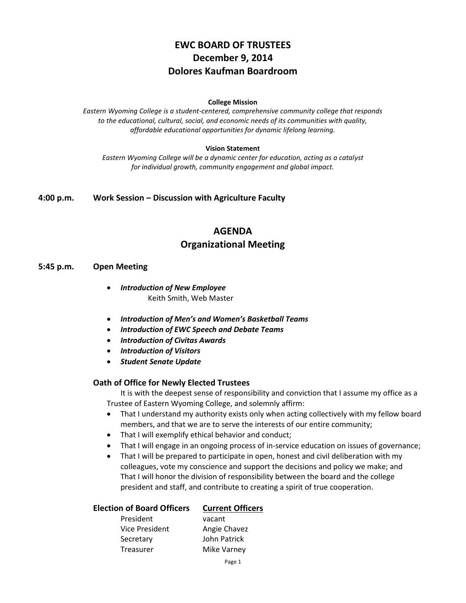# **EWC BOARD OF TRUSTEES December 9, 2014 Dolores Kaufman Boardroom**

#### **College Mission**

*Eastern Wyoming College is a student-centered, comprehensive community college that responds to the educational, cultural, social, and economic needs of its communities with quality, affordable educational opportunities for dynamic lifelong learning.*

#### **Vision Statement**

*Eastern Wyoming College will be a dynamic center for education, acting as a catalyst for individual growth, community engagement and global impact.*

**4:00 p.m. Work Session – Discussion with Agriculture Faculty**

# **AGENDA Organizational Meeting**

#### **5:45 p.m. Open Meeting**

- *Introduction of New Employee* Keith Smith, Web Master
- *Introduction of Men's and Women's Basketball Teams*
- *Introduction of EWC Speech and Debate Teams*
- *Introduction of Civitas Awards*
- *Introduction of Visitors*
- *Student Senate Update*

#### **Oath of Office for Newly Elected Trustees**

It is with the deepest sense of responsibility and conviction that I assume my office as a Trustee of Eastern Wyoming College, and solemnly affirm:

- That I understand my authority exists only when acting collectively with my fellow board members, and that we are to serve the interests of our entire community;
- That I will exemplify ethical behavior and conduct;
- That I will engage in an ongoing process of in-service education on issues of governance;
- That I will be prepared to participate in open, honest and civil deliberation with my colleagues, vote my conscience and support the decisions and policy we make; and That I will honor the division of responsibility between the board and the college president and staff, and contribute to creating a spirit of true cooperation.

| <b>Election of Board Officers</b> | <b>Current Officers</b> |
|-----------------------------------|-------------------------|
| President                         | vacant                  |
| Vice President                    | Angie Chavez            |
| Secretary                         | John Patrick            |
| Treasurer                         | Mike Varney             |
|                                   |                         |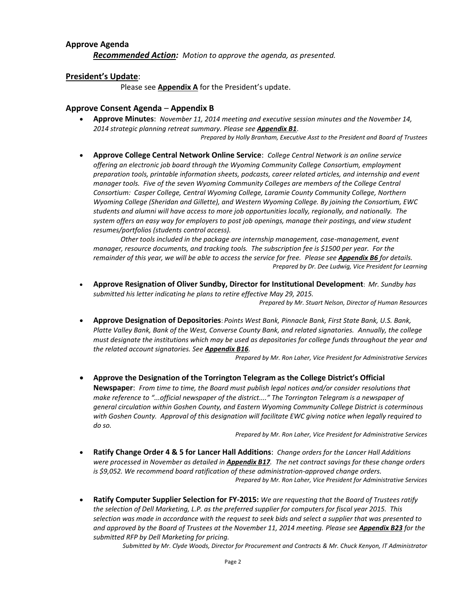#### **Approve Agenda**

*Recommended Action: Motion to approve the agenda, as presented.*

#### **President's Update**:

Please see **Appendix A** for the President's update.

#### **Approve Consent Agenda** – **Appendix B**

 **Approve Minutes**: *November 11, 2014 meeting and executive session minutes and the November 14, 2014 strategic planning retreat summary. Please see Appendix B1*.

*Prepared by Holly Branham, Executive Asst to the President and Board of Trustees*

 **Approve College Central Network Online Service**: *College Central Network is an online service offering an electronic job board through the Wyoming Community College Consortium, employment preparation tools, printable information sheets, podcasts, career related articles, and internship and event manager tools. Five of the seven Wyoming Community Colleges are members of the College Central Consortium: Casper College, Central Wyoming College, Laramie County Community College, Northern Wyoming College (Sheridan and Gillette), and Western Wyoming College. By joining the Consortium, EWC students and alumni will have access to more job opportunities locally, regionally, and nationally. The system offers an easy way for employers to post job openings, manage their postings, and view student resumes/portfolios (students control access).* 

*Other tools included in the package are internship management, case-management, event manager, resource documents, and tracking tools. The subscription fee is \$1500 per year. For the remainder of this year, we will be able to access the service for free. Please see Appendix B6 for details. Prepared by Dr. Dee Ludwig, Vice President for Learning*

 **Approve Resignation of Oliver Sundby, Director for Institutional Development**: *Mr. Sundby has submitted his letter indicating he plans to retire effective May 29, 2015.*

*Prepared by Mr. Stuart Nelson, Director of Human Resources*

 **Approve Designation of Depositories**: *Points West Bank, Pinnacle Bank, First State Bank, U.S. Bank, Platte Valley Bank, Bank of the West, Converse County Bank, and related signatories. Annually, the college must designate the institutions which may be used as depositories for college funds throughout the year and the related account signatories. See Appendix B16.*

*Prepared by Mr. Ron Laher, Vice President for Administrative Services*

 **Approve the Designation of the Torrington Telegram as the College District's Official Newspaper**: *From time to time, the Board must publish legal notices and/or consider resolutions that make reference to "...official newspaper of the district...." The Torrington Telegram is a newspaper of general circulation within Goshen County, and Eastern Wyoming Community College District is coterminous with Goshen County. Approval of this designation will facilitate EWC giving notice when legally required to do so.*

*Prepared by Mr. Ron Laher, Vice President for Administrative Services*

- **Ratify Change Order 4 & 5 for Lancer Hall Additions**: *Change orders for the Lancer Hall Additions were processed in November as detailed in Appendix B17. The net contract savings for these change orders is \$9,052. We recommend board ratification of these administration-approved change orders. Prepared by Mr. Ron Laher, Vice President for Administrative Services*
- **Ratify Computer Supplier Selection for FY-2015:** *We are requesting that the Board of Trustees ratify the selection of Dell Marketing, L.P. as the preferred supplier for computers for fiscal year 2015. This selection was made in accordance with the request to seek bids and select a supplier that was presented to and approved by the Board of Trustees at the November 11, 2014 meeting. Please see Appendix B23 for the submitted RFP by Dell Marketing for pricing.*

*Submitted by Mr. Clyde Woods, Director for Procurement and Contracts & Mr. Chuck Kenyon, IT Administrator*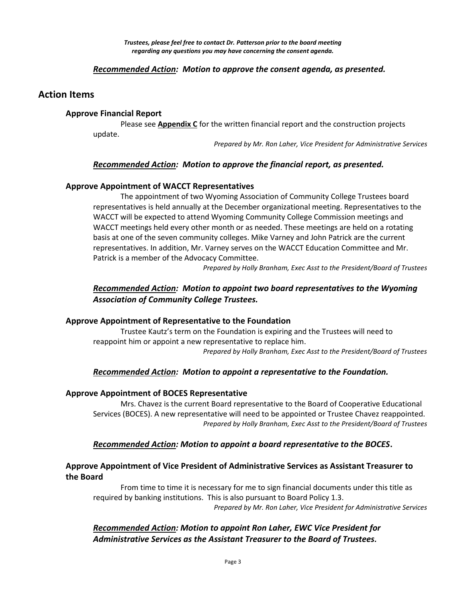*Trustees, please feel free to contact Dr. Patterson prior to the board meeting regarding any questions you may have concerning the consent agenda.*

#### *Recommended Action: Motion to approve the consent agenda, as presented.*

## **Action Items**

#### **Approve Financial Report**

Please see **Appendix C** for the written financial report and the construction projects update.

*Prepared by Mr. Ron Laher, Vice President for Administrative Services*

#### *Recommended Action: Motion to approve the financial report, as presented.*

#### **Approve Appointment of WACCT Representatives**

The appointment of two Wyoming Association of Community College Trustees board representatives is held annually at the December organizational meeting. Representatives to the WACCT will be expected to attend Wyoming Community College Commission meetings and WACCT meetings held every other month or as needed. These meetings are held on a rotating basis at one of the seven community colleges. Mike Varney and John Patrick are the current representatives. In addition, Mr. Varney serves on the WACCT Education Committee and Mr. Patrick is a member of the Advocacy Committee.

*Prepared by Holly Branham, Exec Asst to the President/Board of Trustees*

# *Recommended Action: Motion to appoint two board representatives to the Wyoming Association of Community College Trustees.*

#### **Approve Appointment of Representative to the Foundation**

Trustee Kautz's term on the Foundation is expiring and the Trustees will need to reappoint him or appoint a new representative to replace him.

*Prepared by Holly Branham, Exec Asst to the President/Board of Trustees*

#### *Recommended Action: Motion to appoint a representative to the Foundation.*

#### **Approve Appointment of BOCES Representative**

Mrs. Chavez is the current Board representative to the Board of Cooperative Educational Services (BOCES). A new representative will need to be appointed or Trustee Chavez reappointed. *Prepared by Holly Branham, Exec Asst to the President/Board of Trustees*

#### *Recommended Action: Motion to appoint a board representative to the BOCES***.**

## **Approve Appointment of Vice President of Administrative Services as Assistant Treasurer to the Board**

From time to time it is necessary for me to sign financial documents under this title as required by banking institutions. This is also pursuant to Board Policy 1.3. *Prepared by Mr. Ron Laher, Vice President for Administrative Services*

# *Recommended Action: Motion to appoint Ron Laher, EWC Vice President for Administrative Services as the Assistant Treasurer to the Board of Trustees.*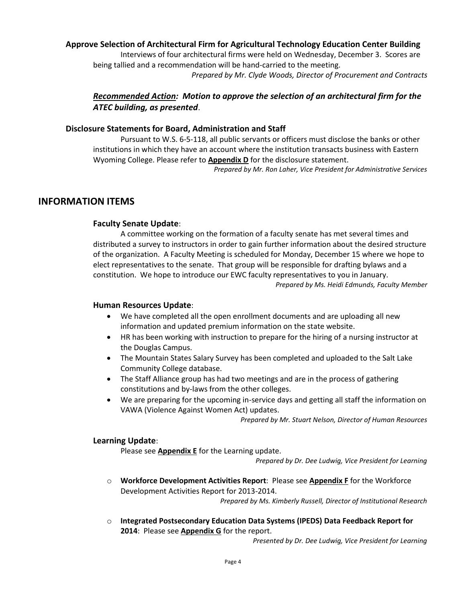# **Approve Selection of Architectural Firm for Agricultural Technology Education Center Building**

Interviews of four architectural firms were held on Wednesday, December 3. Scores are being tallied and a recommendation will be hand-carried to the meeting.

*Prepared by Mr. Clyde Woods, Director of Procurement and Contracts*

# *Recommended Action: Motion to approve the selection of an architectural firm for the ATEC building, as presented*.

#### **Disclosure Statements for Board, Administration and Staff**

Pursuant to W.S. 6-5-118, all public servants or officers must disclose the banks or other institutions in which they have an account where the institution transacts business with Eastern Wyoming College. Please refer to **Appendix D** for the disclosure statement.

*Prepared by Mr. Ron Laher, Vice President for Administrative Services*

# **INFORMATION ITEMS**

#### **Faculty Senate Update**:

A committee working on the formation of a faculty senate has met several times and distributed a survey to instructors in order to gain further information about the desired structure of the organization. A Faculty Meeting is scheduled for Monday, December 15 where we hope to elect representatives to the senate. That group will be responsible for drafting bylaws and a constitution. We hope to introduce our EWC faculty representatives to you in January. *Prepared by Ms. Heidi Edmunds, Faculty Member*

#### **Human Resources Update**:

- We have completed all the open enrollment documents and are uploading all new information and updated premium information on the state website.
- HR has been working with instruction to prepare for the hiring of a nursing instructor at the Douglas Campus.
- The Mountain States Salary Survey has been completed and uploaded to the Salt Lake Community College database.
- The Staff Alliance group has had two meetings and are in the process of gathering constitutions and by-laws from the other colleges.
- We are preparing for the upcoming in-service days and getting all staff the information on VAWA (Violence Against Women Act) updates.

*Prepared by Mr. Stuart Nelson, Director of Human Resources*

#### **Learning Update**:

Please see **Appendix E** for the Learning update.

*Prepared by Dr. Dee Ludwig, Vice President for Learning*

o **Workforce Development Activities Report**: Please see **Appendix F** for the Workforce Development Activities Report for 2013-2014.

*Prepared by Ms. Kimberly Russell, Director of Institutional Research*

o **Integrated Postsecondary Education Data Systems (IPEDS) Data Feedback Report for 2014**: Please see **Appendix G** for the report.

*Presented by Dr. Dee Ludwig, Vice President for Learning*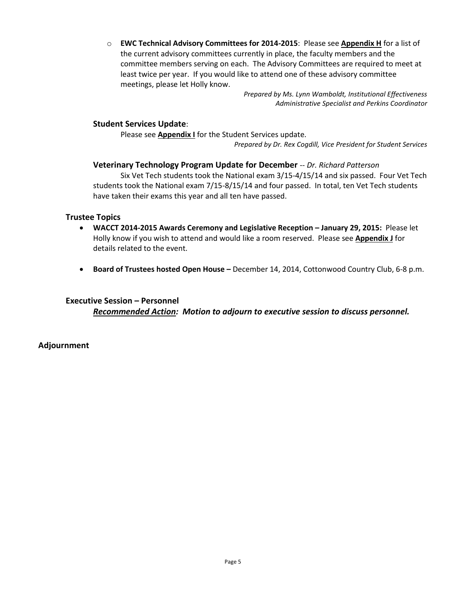o **EWC Technical Advisory Committees for 2014-2015**: Please see **Appendix H** for a list of the current advisory committees currently in place, the faculty members and the committee members serving on each. The Advisory Committees are required to meet at least twice per year. If you would like to attend one of these advisory committee meetings, please let Holly know.

> *Prepared by Ms. Lynn Wamboldt, Institutional Effectiveness Administrative Specialist and Perkins Coordinator*

# **Student Services Update**:

Please see **Appendix I** for the Student Services update. *Prepared by Dr. Rex Cogdill, Vice President for Student Services*

## **Veterinary Technology Program Update for December** -- *Dr. Richard Patterson*

Six Vet Tech students took the National exam 3/15-4/15/14 and six passed. Four Vet Tech students took the National exam 7/15-8/15/14 and four passed. In total, ten Vet Tech students have taken their exams this year and all ten have passed.

#### **Trustee Topics**

- **WACCT 2014-2015 Awards Ceremony and Legislative Reception – January 29, 2015:** Please let Holly know if you wish to attend and would like a room reserved. Please see **Appendix J** for details related to the event.
- **Board of Trustees hosted Open House –** December 14, 2014, Cottonwood Country Club, 6-8 p.m.

## **Executive Session – Personnel**

*Recommended Action: Motion to adjourn to executive session to discuss personnel.*

**Adjournment**